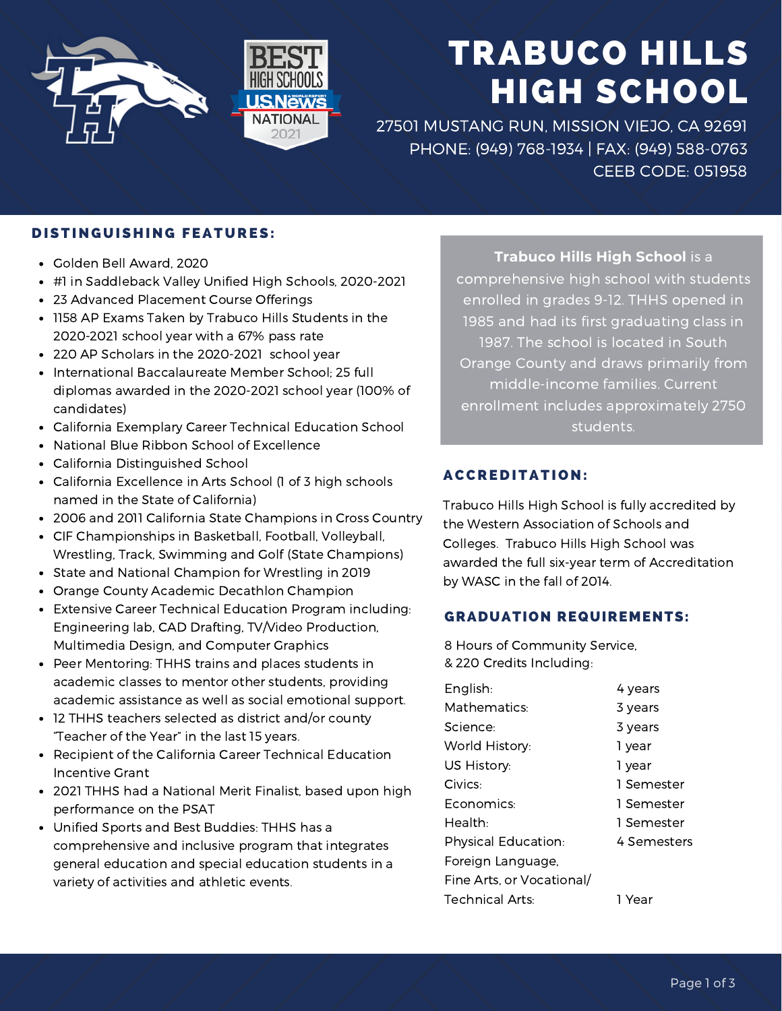

# TRABUCO HILLS HIGH SCHOOL

27501 MUSTANG RUN, MISSION VIEJO, CA 92691 PHONE: (949) 768-1934 | FAX: (949) 588-0763 CEEB CODE: 051958

## DISTINGUISHING FEATURES:

- Golden Bell Award, 2020
- #1 in Saddleback Valley Unified High Schools, 2020-2021
- 23 Advanced Placement Course Offerings
- 1158 AP Exams Taken by Trabuco Hills Students in the 2020-2021 school year with a 67% pass rate
- 220 AP Scholars in the 2020-2021 school year
- International Baccalaureate Member School; 25 full diplomas awarded in the 2020-2021 school year (100% of candidates)
- California Exemplary Career Technical Education School
- National Blue Ribbon School of Excellence  $\bullet$
- California Distinguished School
- California Excellence in Arts School (1 of 3 high schools named in the State of California)
- 2006 and 2011 California State Champions in Cross Country
- CIF Championships in Basketball, Football, Volleyball,  $\bullet$ Wrestling, Track, Swimming and Golf (State Champions)
- State and National Champion for Wrestling in 2019
- Orange County Academic Decathlon Champion
- Extensive Career Technical Education Program including: Engineering lab, CAD Drafting, TV/Video Production, Multimedia Design, and Computer Graphics
- Peer Mentoring: THHS trains and places students in academic classes to mentor other students, providing academic assistance as well as social emotional support.
- 12 THHS teachers selected as district and/or county "Teacher of the Year" in the last 15 years.
- $\bullet$ Recipient of the California Career Technical Education Incentive Grant
- 2021 THHS had a National Merit Finalist, based upon high performance on the PSAT
- Unified Sports and Best Buddies: THHS has a comprehensive and inclusive program that integrates general education and special education students in a variety of activities and athletic events.

**Trabuco Hills High School** is a comprehensive high school with students enrolled in grades 9-12. THHS opened in 1985 and had its first graduating class in 1987. The school is located in South Orange County and draws primarily from middle-income families. Current enrollment includes approximately 2750 students.

## **ACCREDITATION:**

Trabuco Hills High School is fully accredited by the Western Association of Schools and Colleges. Trabuco Hills High School was awarded the full six-year term of Accreditation by WASC in the fall of 2014.

### GRADUATION REQUIREMENTS:

8 Hours of Community Service, & 220 Credits Including:

| English:                   | 4 years     |
|----------------------------|-------------|
| Mathematics:               | 3 years     |
| Science:                   | 3 years     |
| World History:             | 1 year      |
| US History:                | 1 year      |
| Civics:                    | 1 Semester  |
| Economics:                 | 1 Semester  |
| Health:                    | 1 Semester  |
| <b>Physical Education:</b> | 4 Semesters |
| Foreign Language,          |             |
| Fine Arts, or Vocational/  |             |
| <b>Technical Arts:</b>     | 1 Year      |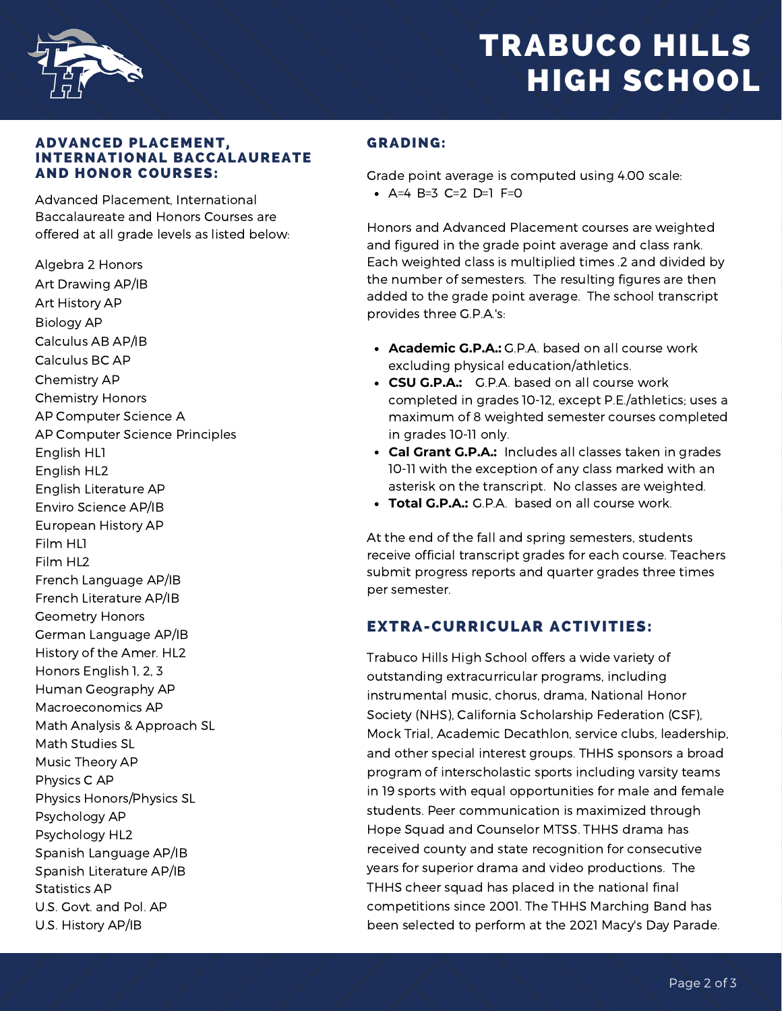

## TRABUCO HILLS HIGH SCHOOL

#### ADVANCED PLACEMENT, INTERNATIONAL BACCALAUREATE AND HONOR COURSES:

Advanced Placement, International Baccalaureate and Honors Courses are offered at all grade levels as listed below:

Algebra 2 Honors Art Drawing AP/IB Art History AP Biology AP Calculus AB AP/IB Calculus BC AP Chemistry AP Chemistry Honors AP Computer Science A AP Computer Science Principles English HL1 English HL2 English Literature AP Enviro Science AP/IB European History AP Film HL1 Film HL2 French Language AP/IB French Literature AP/IB Geometry Honors German Language AP/IB History of the Amer. HL2 Honors English 1, 2, 3 Human Geography AP Macroeconomics AP Math Analysis & Approach SL Math Studies SL Music Theory AP Physics C AP Physics Honors/Physics SL Psychology AP Psychology HL2 Spanish Language AP/IB Spanish Literature AP/IB Statistics AP U.S. Govt. and Pol. AP U.S. History AP/IB

### GRADING:

Grade point average is computed using 4.00 scale:

 $A=4 B=3 C=2 D=1 F=0$ 

Honors and Advanced Placement courses are weighted and figured in the grade point average and class rank. Each weighted class is multiplied times .2 and divided by the number of semesters. The resulting figures are then added to the grade point average. The school transcript provides three G.P.A.'s:

- **Academic G.P.A.:** G.P.A. based on all course work excluding physical education/athletics.
- **CSU G.P.A.:** G.P.A. based on all course work completed in grades 10-12, except P.E./athletics; uses a maximum of 8 weighted semester courses completed in grades 10-11 only.
- **Cal Grant G.P.A.:** Includes all classes taken in grades 10-11 with the exception of any class marked with an asterisk on the transcript. No classes are weighted.
- **Total G.P.A.:** G.P.A. based on all course work.

At the end of the fall and spring semesters, students receive official transcript grades for each course. Teachers submit progress reports and quarter grades three times per semester.

## EXTRA-CURRICULAR ACTIVITIES:

Trabuco Hills High School offers a wide variety of outstanding extracurricular programs, including instrumental music, chorus, drama, National Honor Society (NHS), California Scholarship Federation (CSF), Mock Trial, Academic Decathlon, service clubs, leadership, and other special interest groups. THHS sponsors a broad program of interscholastic sports including varsity teams in 19 sports with equal opportunities for male and female students. Peer communication is maximized through Hope Squad and Counselor MTSS. THHS drama has received county and state recognition for consecutive years for superior drama and video productions. The THHS cheer squad has placed in the national final competitions since 2001. The THHS Marching Band has been selected to perform at the 2021 Macy's Day Parade.